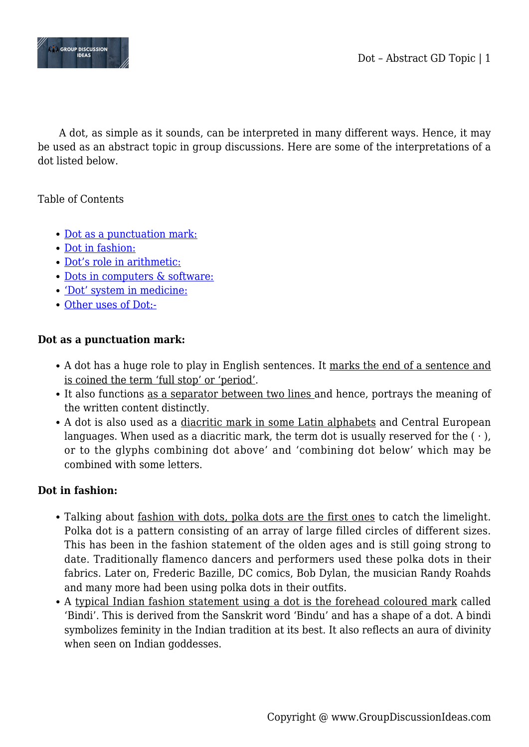

A dot, as simple as it sounds, can be interpreted in many different ways. Hence, it may be used as an abstract topic in group discussions. Here are some of the interpretations of a dot listed below.

# Table of Contents

- [Dot as a punctuation mark:](#page--1-0)
- [Dot in fashion:](#page--1-0)
- [Dot's role in arithmetic:](#page--1-0)
- [Dots in computers & software:](#page--1-0)
- ['Dot' system in medicine:](#page--1-0)
- [Other uses of Dot:-](#page--1-0)

## **Dot as a punctuation mark:**

- A dot has a huge role to play in English sentences. It marks the end of a sentence and is coined the term 'full stop' or 'period'.
- It also functions as a separator between two lines and hence, portrays the meaning of the written content distinctly.
- A dot is also used as a diacritic mark in some Latin alphabets and Central European languages. When used as a diacritic mark, the term dot is usually reserved for the  $(\cdot)$ , or to the glyphs combining dot above' and 'combining dot below' which may be combined with some letters.

## **Dot in fashion:**

- Talking about fashion with dots, polka dots are the first ones to catch the limelight. Polka dot is a pattern consisting of an array of large filled circles of different sizes. This has been in the fashion statement of the olden ages and is still going strong to date. Traditionally flamenco dancers and performers used these polka dots in their fabrics. Later on, Frederic Bazille, DC comics, Bob Dylan, the musician Randy Roahds and many more had been using polka dots in their outfits.
- A typical Indian fashion statement using a dot is the forehead coloured mark called 'Bindi'. This is derived from the Sanskrit word 'Bindu' and has a shape of a dot. A bindi symbolizes feminity in the Indian tradition at its best. It also reflects an aura of divinity when seen on Indian goddesses.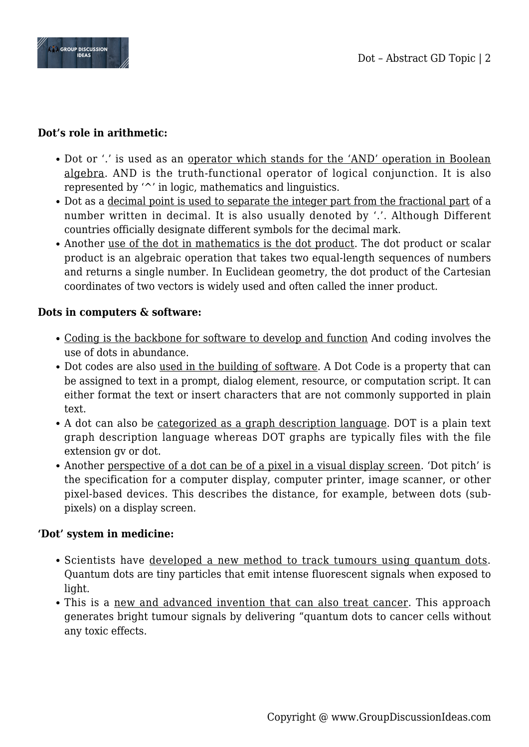

## **Dot's role in arithmetic:**

- Dot or '.' is used as an operator which stands for the 'AND' operation in Boolean algebra. AND is the truth-functional operator of logical conjunction. It is also represented by '^' in logic, mathematics and linguistics.
- Dot as a decimal point is used to separate the integer part from the fractional part of a number written in decimal. It is also usually denoted by '.'. Although Different countries officially designate different symbols for the decimal mark.
- Another use of the dot in mathematics is the dot product. The dot product or scalar product is an algebraic operation that takes two equal-length sequences of numbers and returns a single number. In Euclidean geometry, the dot product of the Cartesian coordinates of two vectors is widely used and often called the inner product.

# **Dots in computers & software:**

- Coding is the backbone for software to develop and function And coding involves the use of dots in abundance.
- Dot codes are also used in the building of software. A Dot Code is a property that can be assigned to text in a prompt, dialog element, resource, or computation script. It can either format the text or insert characters that are not commonly supported in plain text.
- A dot can also be categorized as a graph description language. DOT is a plain text graph description language whereas DOT graphs are typically files with the file extension gv or dot.
- Another perspective of a dot can be of a pixel in a visual display screen. 'Dot pitch' is the specification for a computer display, computer printer, image scanner, or other pixel-based devices. This describes the distance, for example, between dots (subpixels) on a display screen.

# **'Dot' system in medicine:**

- Scientists have developed a new method to track tumours using quantum dots. Quantum dots are tiny particles that emit intense fluorescent signals when exposed to light.
- This is a new and advanced invention that can also treat cancer. This approach generates bright tumour signals by delivering "quantum dots to cancer cells without any toxic effects.